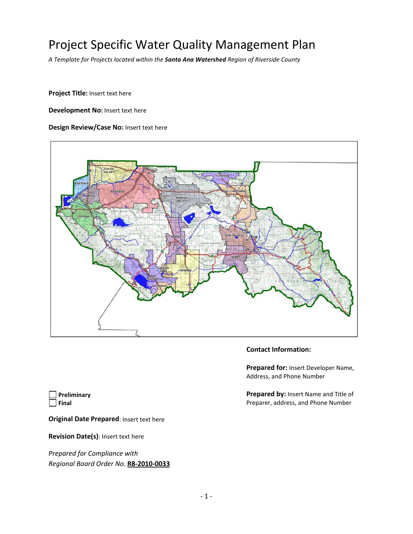## Project Specific Water Quality Management Plan

*A Template for Projects located within the Santa Ana Watershed Region of Riverside County*

**Project Title:** Insert text here

**Development No:** Insert text here

#### **Design Review/Case No:** Insert text here



#### **Contact Information:**

**Prepared for:** Insert Developer Name, Address, and Phone Number

**Prepared by:** Insert Name and Title of Preparer, address, and Phone Number

**Preliminary Final**

**Original Date Prepared**: Insert text here

**Revision Date(s)**: Insert text here

*Prepared for Compliance with Regional Board Order No*. **R8-2010-0033**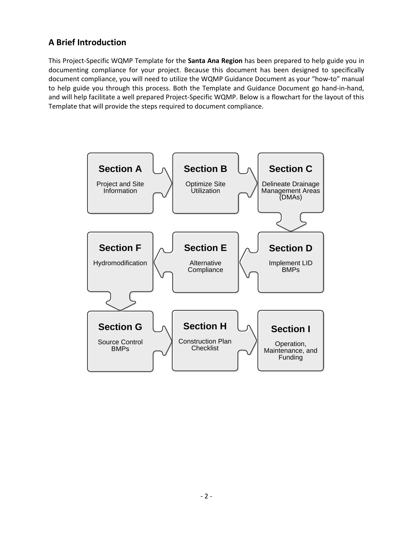### **A Brief Introduction**

This Project-Specific WQMP Template for the **Santa Ana Region** has been prepared to help guide you in documenting compliance for your project. Because this document has been designed to specifically document compliance, you will need to utilize the WQMP Guidance Document as your "how-to" manual to help guide you through this process. Both the Template and Guidance Document go hand-in-hand, and will help facilitate a well prepared Project-Specific WQMP. Below is a flowchart for the layout of this Template that will provide the steps required to document compliance.

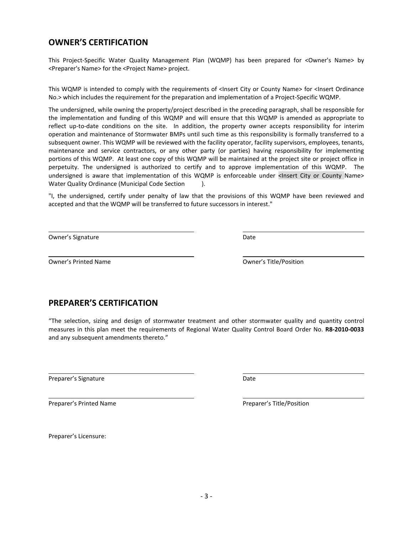### **OWNER'S CERTIFICATION**

This Project-Specific Water Quality Management Plan (WQMP) has been prepared for <Owner's Name> by <Preparer's Name> for the <Project Name> project.

This WQMP is intended to comply with the requirements of <Insert City or County Name> for <Insert Ordinance No.> which includes the requirement for the preparation and implementation of a Project-Specific WQMP.

The undersigned, while owning the property/project described in the preceding paragraph, shall be responsible for the implementation and funding of this WQMP and will ensure that this WQMP is amended as appropriate to reflect up-to-date conditions on the site. In addition, the property owner accepts responsibility for interim operation and maintenance of Stormwater BMPs until such time as this responsibility is formally transferred to a subsequent owner. This WQMP will be reviewed with the facility operator, facility supervisors, employees, tenants, maintenance and service contractors, or any other party (or parties) having responsibility for implementing portions of this WQMP. At least one copy of this WQMP will be maintained at the project site or project office in perpetuity. The undersigned is authorized to certify and to approve implementation of this WQMP. The undersigned is aware that implementation of this WQMP is enforceable under <Insert City or County Name> Water Quality Ordinance (Municipal Code Section ).

"I, the undersigned, certify under penalty of law that the provisions of this WQMP have been reviewed and accepted and that the WQMP will be transferred to future successors in interest."

Owner's Signature Date Communications and Date Date

Owner's Printed Name Owner's Title/Position

### **PREPARER'S CERTIFICATION**

"The selection, sizing and design of stormwater treatment and other stormwater quality and quantity control measures in this plan meet the requirements of Regional Water Quality Control Board Order No. **R8-2010-0033** and any subsequent amendments thereto."

Preparer's Signature Date Date

Preparer's Printed Name **Preparer's Title/Position** 

Preparer's Licensure: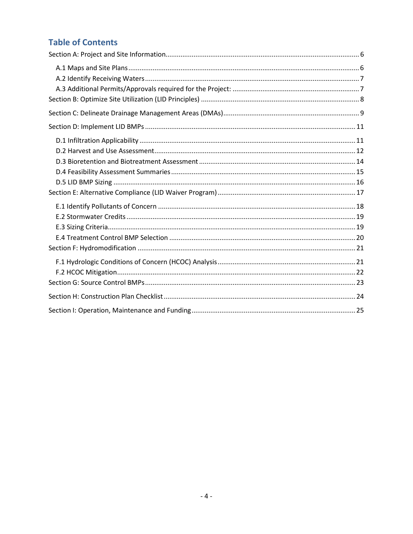### **Table of Contents**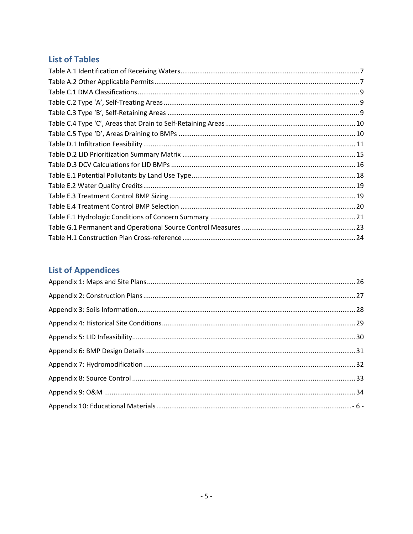### **List of Tables**

## **List of Appendices**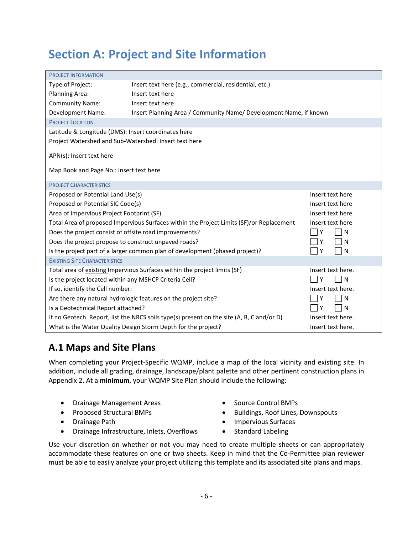## <span id="page-5-0"></span>**Section A: Project and Site Information**

| <b>PROJECT INFORMATION</b>                                                                    |                                                                                           |                   |  |  |  |  |  |  |  |
|-----------------------------------------------------------------------------------------------|-------------------------------------------------------------------------------------------|-------------------|--|--|--|--|--|--|--|
| Type of Project:                                                                              | Insert text here (e.g., commercial, residential, etc.)                                    |                   |  |  |  |  |  |  |  |
| Planning Area:<br>Insert text here                                                            |                                                                                           |                   |  |  |  |  |  |  |  |
| Insert text here<br><b>Community Name:</b>                                                    |                                                                                           |                   |  |  |  |  |  |  |  |
| <b>Development Name:</b><br>Insert Planning Area / Community Name/ Development Name, if known |                                                                                           |                   |  |  |  |  |  |  |  |
| <b>PROJECT LOCATION</b>                                                                       |                                                                                           |                   |  |  |  |  |  |  |  |
| Latitude & Longitude (DMS): Insert coordinates here                                           |                                                                                           |                   |  |  |  |  |  |  |  |
| Project Watershed and Sub-Watershed: Insert text here                                         |                                                                                           |                   |  |  |  |  |  |  |  |
| APN(s): Insert text here                                                                      |                                                                                           |                   |  |  |  |  |  |  |  |
|                                                                                               |                                                                                           |                   |  |  |  |  |  |  |  |
| Map Book and Page No.: Insert text here                                                       |                                                                                           |                   |  |  |  |  |  |  |  |
| <b>PROJECT CHARACTERISTICS</b>                                                                |                                                                                           |                   |  |  |  |  |  |  |  |
|                                                                                               |                                                                                           |                   |  |  |  |  |  |  |  |
| Proposed or Potential Land Use(s)                                                             |                                                                                           | Insert text here  |  |  |  |  |  |  |  |
| Proposed or Potential SIC Code(s)                                                             |                                                                                           | Insert text here  |  |  |  |  |  |  |  |
| Area of Impervious Project Footprint (SF)                                                     |                                                                                           | Insert text here  |  |  |  |  |  |  |  |
|                                                                                               | Total Area of proposed Impervious Surfaces within the Project Limits (SF)/or Replacement  | Insert text here  |  |  |  |  |  |  |  |
| Does the project consist of offsite road improvements?                                        |                                                                                           | N<br>Υ            |  |  |  |  |  |  |  |
| Does the project propose to construct unpaved roads?                                          |                                                                                           | N                 |  |  |  |  |  |  |  |
|                                                                                               | Is the project part of a larger common plan of development (phased project)?              | Υ<br>N            |  |  |  |  |  |  |  |
| <b>EXISTING SITE CHARACTERISTICS</b>                                                          |                                                                                           |                   |  |  |  |  |  |  |  |
|                                                                                               | Total area of existing Impervious Surfaces within the project limits (SF)                 | Insert text here. |  |  |  |  |  |  |  |
| Is the project located within any MSHCP Criteria Cell?                                        |                                                                                           | N<br>Υ            |  |  |  |  |  |  |  |
| If so, identify the Cell number:<br>Insert text here.                                         |                                                                                           |                   |  |  |  |  |  |  |  |
| Are there any natural hydrologic features on the project site?<br>Υ<br>N                      |                                                                                           |                   |  |  |  |  |  |  |  |
| Is a Geotechnical Report attached?                                                            |                                                                                           | N<br>Υ            |  |  |  |  |  |  |  |
|                                                                                               | If no Geotech. Report, list the NRCS soils type(s) present on the site (A, B, C and/or D) | Insert text here. |  |  |  |  |  |  |  |
|                                                                                               | What is the Water Quality Design Storm Depth for the project?                             | Insert text here. |  |  |  |  |  |  |  |

### <span id="page-5-1"></span>**A.1 Maps and Site Plans**

When completing your Project-Specific WQMP, include a map of the local vicinity and existing site. In addition, include all grading, drainage, landscape/plant palette and other pertinent construction plans in Appendix 2. At a **minimum**, your WQMP Site Plan should include the following:

- Drainage Management Areas
- Proposed Structural BMPs
- Drainage Path
- Drainage Infrastructure, Inlets, Overflows
- Source Control BMPs
- Buildings, Roof Lines, Downspouts
- Impervious Surfaces
- Standard Labeling

Use your discretion on whether or not you may need to create multiple sheets or can appropriately accommodate these features on one or two sheets. Keep in mind that the Co-Permittee plan reviewer must be able to easily analyze your project utilizing this template and its associated site plans and maps.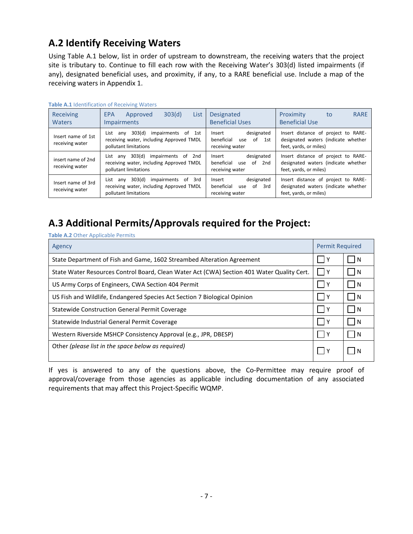### <span id="page-6-0"></span>**A.2 Identify Receiving Waters**

Using Table A.1 below, list in order of upstream to downstream, the receiving waters that the project site is tributary to. Continue to fill each row with the Receiving Water's 303(d) listed impairments (if any), designated beneficial uses, and proximity, if any, to a RARE beneficial use. Include a map of the receiving waters in Appendix 1.

|                                       | $\frac{1}{2}$                                                                                                 |                                                                           |                                                                                                      |
|---------------------------------------|---------------------------------------------------------------------------------------------------------------|---------------------------------------------------------------------------|------------------------------------------------------------------------------------------------------|
| <b>Receiving</b><br><b>Waters</b>     | 303(d)<br>List<br>Approved<br>EPA<br><b>Impairments</b>                                                       | Designated<br><b>Beneficial Uses</b>                                      | Proximity<br><b>RARE</b><br>to<br><b>Beneficial Use</b>                                              |
| Insert name of 1st<br>receiving water | 303(d)<br>impairments of 1st<br>List any<br>receiving water, including Approved TMDL<br>pollutant limitations | designated<br>Insert<br>beneficial<br>of<br>1st<br>use<br>receiving water | Insert distance of project to RARE-<br>designated waters (indicate whether<br>feet, yards, or miles) |
| insert name of 2nd<br>receiving water | 303(d)<br>impairments of 2nd<br>List any<br>receiving water, including Approved TMDL<br>pollutant limitations | designated<br>Insert<br>beneficial<br>of<br>2nd<br>use<br>receiving water | Insert distance of project to RARE-<br>designated waters (indicate whether<br>feet, yards, or miles) |
| Insert name of 3rd<br>receiving water | 303(d)<br>impairments of 3rd<br>List any<br>receiving water, including Approved TMDL<br>pollutant limitations | designated<br>Insert<br>beneficial<br>of 3rd<br>use<br>receiving water    | Insert distance of project to RARE-<br>designated waters (indicate whether<br>feet, yards, or miles) |

#### **Table A.1** Identification of Receiving Waters

### <span id="page-6-1"></span>**A.3 Additional Permits/Approvals required for the Project:**

**Table A.2** Other Applicable Permits

| Agency                                                                                     | <b>Permit Required</b> |   |  |
|--------------------------------------------------------------------------------------------|------------------------|---|--|
| State Department of Fish and Game, 1602 Streambed Alteration Agreement                     | Y                      | N |  |
| State Water Resources Control Board, Clean Water Act (CWA) Section 401 Water Quality Cert. | 1Y                     | N |  |
| US Army Corps of Engineers, CWA Section 404 Permit                                         | l Y                    | N |  |
| US Fish and Wildlife, Endangered Species Act Section 7 Biological Opinion                  | 1Y                     | N |  |
| Statewide Construction General Permit Coverage                                             |                        | N |  |
| Statewide Industrial General Permit Coverage                                               | -Y                     | N |  |
| Western Riverside MSHCP Consistency Approval (e.g., JPR, DBESP)                            |                        | N |  |
| Other (please list in the space below as required)                                         |                        |   |  |

If yes is answered to any of the questions above, the Co-Permittee may require proof of approval/coverage from those agencies as applicable including documentation of any associated requirements that may affect this Project-Specific WQMP.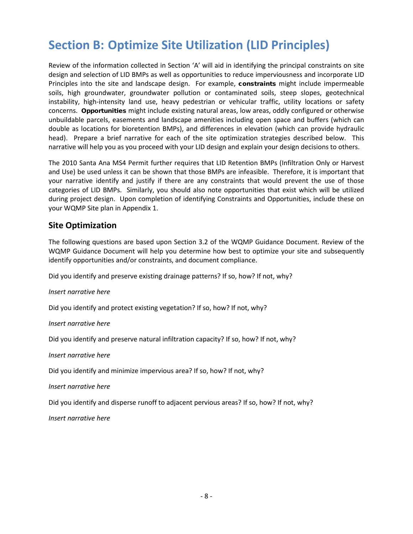## <span id="page-7-0"></span>**Section B: Optimize Site Utilization (LID Principles)**

Review of the information collected in Section 'A' will aid in identifying the principal constraints on site design and selection of LID BMPs as well as opportunities to reduce imperviousness and incorporate LID Principles into the site and landscape design. For example, constraints might include impermeable soils, high groundwater, groundwater pollution or contaminated soils, steep slopes, geotechnical instability, high-intensity land use, heavy pedestrian or vehicular traffic, utility locations or safety concerns. Opportunities might include existing natural areas, low areas, oddly configured or otherwise unbuildable parcels, easements and landscape amenities including open space and buffers (which can double as locations for bioretention BMPs), and differences in elevation (which can provide hydraulic head). Prepare a brief narrative for each of the site optimization strategies described below. This narrative will help you as you proceed with your LID design and explain your design decisions to others.

The 2010 Santa Ana MS4 Permit further requires that LID Retention BMPs (Infiltration Only or Harvest and Use) be used unless it can be shown that those BMPs are infeasible. Therefore, it is important that your narrative identify and justify if there are any constraints that would prevent the use of those categories of LID BMPs. Similarly, you should also note opportunities that exist which will be utilized during project design. Upon completion of identifying Constraints and Opportunities, include these on your WQMP Site plan in Appendix 1.

### **Site Optimization**

The following questions are based upon Section 3.2 of the WQMP Guidance Document. Review of the WQMP Guidance Document will help you determine how best to optimize your site and subsequently identify opportunities and/or constraints, and document compliance.

Did you identify and preserve existing drainage patterns? If so, how? If not, why?

#### *Insert narrative here*

Did you identify and protect existing vegetation? If so, how? If not, why?

*Insert narrative here*

Did you identify and preserve natural infiltration capacity? If so, how? If not, why?

*Insert narrative here*

Did you identify and minimize impervious area? If so, how? If not, why?

*Insert narrative here* 

Did you identify and disperse runoff to adjacent pervious areas? If so, how? If not, why?

*Insert narrative here*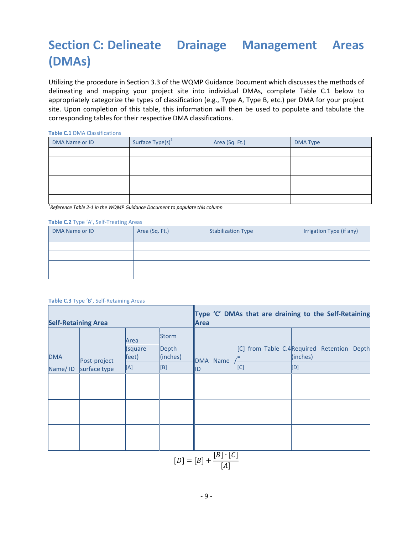# <span id="page-8-0"></span>**Section C: Delineate Drainage Management Areas (DMAs)**

Utilizing the procedure in Section 3.3 of the WQMP Guidance Document which discusses the methods of delineating and mapping your project site into individual DMAs, complete Table C.1 below to appropriately categorize the types of classification (e.g., Type A, Type B, etc.) per DMA for your project site. Upon completion of this table, this information will then be used to populate and tabulate the corresponding tables for their respective DMA classifications.

**Table C.1** DMA Classifications

| DMA Name or ID | Surface $Type(s)^1$ | Area (Sq. Ft.) | <b>DMA Type</b> |
|----------------|---------------------|----------------|-----------------|
|                |                     |                |                 |
|                |                     |                |                 |
|                |                     |                |                 |
|                |                     |                |                 |
|                |                     |                |                 |
|                |                     |                |                 |

*1 Reference Table 2-1 in the WQMP Guidance Document to populate this column*

#### **Table C.2** Type 'A', Self-Treating Areas

| DMA Name or ID | Area (Sq. Ft.) | <b>Stabilization Type</b> | Irrigation Type (if any) |
|----------------|----------------|---------------------------|--------------------------|
|                |                |                           |                          |
|                |                |                           |                          |
|                |                |                           |                          |
|                |                |                           |                          |

#### **Table C.3** Type 'B', Self-Retaining Areas

| <b>Self-Retaining Area</b> |                              |                                 |                                          | Area                                            |     | Type 'C' DMAs that are draining to the Self-Retaining         |  |
|----------------------------|------------------------------|---------------------------------|------------------------------------------|-------------------------------------------------|-----|---------------------------------------------------------------|--|
| <b>DMA</b><br>Name/ID      | Post-project<br>surface type | Area<br>(square<br>feet)<br>[A] | <b>Storm</b><br>Depth<br>(inches)<br>[B] | DMA Name<br>IID                                 | [C] | [C] from Table C.4Required Retention Depth<br>(inches)<br>[D] |  |
|                            |                              |                                 |                                          |                                                 |     |                                                               |  |
|                            |                              |                                 |                                          |                                                 |     |                                                               |  |
|                            |                              |                                 |                                          |                                                 |     |                                                               |  |
|                            |                              |                                 |                                          | $\boxed{[D] = [B] + \frac{[B] \cdot [C]}{[A]}}$ |     |                                                               |  |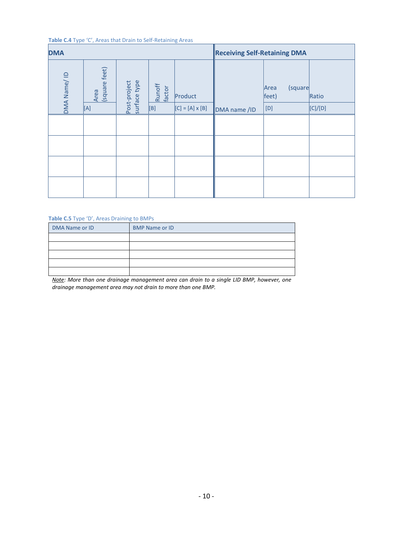#### **Table C.4** Type 'C', Areas that Drain to Self-Retaining Areas

| <b>DMA</b>  |                              |                              |                         |                                   | <b>Receiving Self-Retaining DMA</b> |                                   |                  |  |
|-------------|------------------------------|------------------------------|-------------------------|-----------------------------------|-------------------------------------|-----------------------------------|------------------|--|
| DMA Name/ID | Area<br>(square feet)<br>[A] | Post-project<br>surface type | Runoff<br>factor<br>[B] | Product<br>$[C] = [A] \times [B]$ | DMA name /ID                        | (square<br>Area<br>feet)<br>$[D]$ | Ratio<br>[C]/[D] |  |
|             |                              |                              |                         |                                   |                                     |                                   |                  |  |
|             |                              |                              |                         |                                   |                                     |                                   |                  |  |
|             |                              |                              |                         |                                   |                                     |                                   |                  |  |
|             |                              |                              |                         |                                   |                                     |                                   |                  |  |
|             |                              |                              |                         |                                   |                                     |                                   |                  |  |

#### **Table C.5** Type 'D', Areas Draining to BMPs

| DMA Name or ID | <b>BMP Name or ID</b> |
|----------------|-----------------------|
|                |                       |
|                |                       |
|                |                       |
|                |                       |
|                |                       |

*Note: More than one drainage management area can drain to a single LID BMP, however, one drainage management area may not drain to more than one BMP.*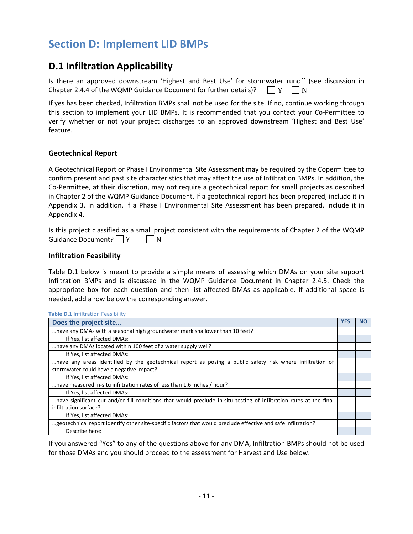## <span id="page-10-0"></span>**Section D: Implement LID BMPs**

### <span id="page-10-1"></span>**D.1 Infiltration Applicability**

|  | Is there an approved downstream 'Highest and Best Use' for stormwater runoff (see discussion in |  |  |  |  |  |  |
|--|-------------------------------------------------------------------------------------------------|--|--|--|--|--|--|
|  | Chapter 2.4.4 of the WQMP Guidance Document for further details)? $\Box Y \Box N$               |  |  |  |  |  |  |

If yes has been checked, Infiltration BMPs shall not be used for the site. If no, continue working through this section to implement your LID BMPs. It is recommended that you contact your Co-Permittee to verify whether or not your project discharges to an approved downstream 'Highest and Best Use' feature.

#### **Geotechnical Report**

A Geotechnical Report or Phase I Environmental Site Assessment may be required by the Copermittee to confirm present and past site characteristics that may affect the use of Infiltration BMPs. In addition, the Co-Permittee, at their discretion, may not require a geotechnical report for small projects as described in Chapter 2 of the WQMP Guidance Document. If a geotechnical report has been prepared, include it in Appendix 3. In addition, if a Phase I Environmental Site Assessment has been prepared, include it in Appendix 4.

Is this project classified as a small project consistent with the requirements of Chapter 2 of the WQMP Guidance Document? | | Y | | N

#### **Infiltration Feasibility**

Table D.1 below is meant to provide a simple means of assessing which DMAs on your site support Infiltration BMPs and is discussed in the WQMP Guidance Document in Chapter 2.4.5. Check the appropriate box for each question and then list affected DMAs as applicable. If additional space is needed, add a row below the corresponding answer.

| <b>Table D.1 Infiltration Feasibility</b>                                                                          |            |           |
|--------------------------------------------------------------------------------------------------------------------|------------|-----------|
| Does the project site                                                                                              | <b>YES</b> | <b>NO</b> |
| have any DMAs with a seasonal high groundwater mark shallower than 10 feet?                                        |            |           |
| If Yes, list affected DMAs:                                                                                        |            |           |
| have any DMAs located within 100 feet of a water supply well?                                                      |            |           |
| If Yes, list affected DMAs:                                                                                        |            |           |
| have any areas identified by the geotechnical report as posing a public safety risk where infiltration of          |            |           |
| stormwater could have a negative impact?                                                                           |            |           |
| If Yes, list affected DMAs:                                                                                        |            |           |
| have measured in-situ infiltration rates of less than 1.6 inches / hour?                                           |            |           |
| If Yes, list affected DMAs:                                                                                        |            |           |
| have significant cut and/or fill conditions that would preclude in-situ testing of infiltration rates at the final |            |           |
| infiltration surface?                                                                                              |            |           |
| If Yes, list affected DMAs:                                                                                        |            |           |
| geotechnical report identify other site-specific factors that would preclude effective and safe infiltration?      |            |           |
| Describe here:                                                                                                     |            |           |

If you answered "Yes" to any of the questions above for any DMA, Infiltration BMPs should not be used for those DMAs and you should proceed to the assessment for Harvest and Use below.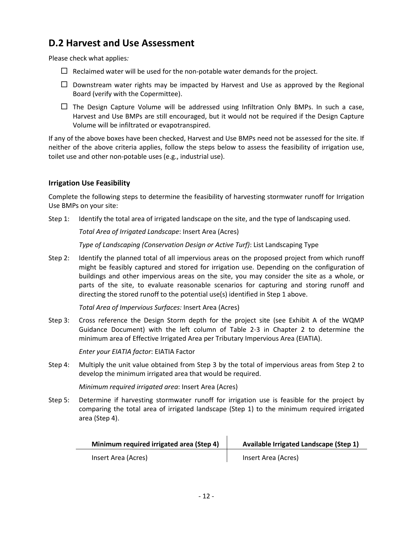### <span id="page-11-0"></span>**D.2 Harvest and Use Assessment**

Please check what applies*:*

- $\Box$  Reclaimed water will be used for the non-potable water demands for the project.
- $\Box$  Downstream water rights may be impacted by Harvest and Use as approved by the Regional Board (verify with the Copermittee).
- $\Box$  The Design Capture Volume will be addressed using Infiltration Only BMPs. In such a case, Harvest and Use BMPs are still encouraged, but it would not be required if the Design Capture Volume will be infiltrated or evapotranspired.

If any of the above boxes have been checked, Harvest and Use BMPs need not be assessed for the site. If neither of the above criteria applies, follow the steps below to assess the feasibility of irrigation use, toilet use and other non-potable uses (e.g., industrial use).

### **Irrigation Use Feasibility**

Complete the following steps to determine the feasibility of harvesting stormwater runoff for Irrigation Use BMPs on your site:

Step 1: Identify the total area of irrigated landscape on the site, and the type of landscaping used.

*Total Area of Irrigated Landscape*: Insert Area (Acres)

*Type of Landscaping (Conservation Design or Active Turf)*: List Landscaping Type

Step 2: Identify the planned total of all impervious areas on the proposed project from which runoff might be feasibly captured and stored for irrigation use. Depending on the configuration of buildings and other impervious areas on the site, you may consider the site as a whole, or parts of the site, to evaluate reasonable scenarios for capturing and storing runoff and directing the stored runoff to the potential use(s) identified in Step 1 above.

*Total Area of Impervious Surfaces:* Insert Area (Acres)

Step 3: Cross reference the Design Storm depth for the project site (see Exhibit A of the WQMP Guidance Document) with the left column of Table 2-3 in Chapter 2 to determine the minimum area of Effective Irrigated Area per Tributary Impervious Area (EIATIA).

*Enter your EIATIA factor*: EIATIA Factor

Step 4: Multiply the unit value obtained from Step 3 by the total of impervious areas from Step 2 to develop the minimum irrigated area that would be required.

*Minimum required irrigated area*: Insert Area (Acres)

Step 5: Determine if harvesting stormwater runoff for irrigation use is feasible for the project by comparing the total area of irrigated landscape (Step 1) to the minimum required irrigated area (Step 4).

| Minimum required irrigated area (Step 4) | Available Irrigated Landscape (Step 1) |
|------------------------------------------|----------------------------------------|
| Insert Area (Acres)                      | Insert Area (Acres)                    |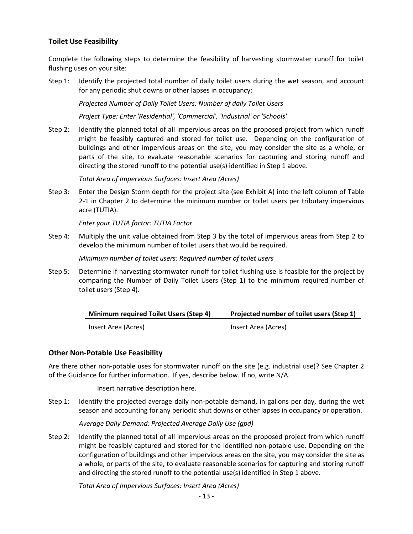### **Toilet Use Feasibility**

Complete the following steps to determine the feasibility of harvesting stormwater runoff for toilet flushing uses on your site:

Step 1: Identify the projected total number of daily toilet users during the wet season, and account for any periodic shut downs or other lapses in occupancy:

*Projected Number of Daily Toilet Users: Number of daily Toilet Users*

*Project Type: Enter 'Residential', 'Commercial', 'Industrial' or 'Schools'*

Step 2: Identify the planned total of all impervious areas on the proposed project from which runoff might be feasibly captured and stored for toilet use. Depending on the configuration of buildings and other impervious areas on the site, you may consider the site as a whole, or parts of the site, to evaluate reasonable scenarios for capturing and storing runoff and directing the stored runoff to the potential use(s) identified in Step 1 above.

*Total Area of Impervious Surfaces: Insert Area (Acres)*

Step 3: Enter the Design Storm depth for the project site (see Exhibit A) into the left column of Table 2-1 in Chapter 2 to determine the minimum number or toilet users per tributary impervious acre (TUTIA).

*Enter your TUTIA factor: TUTIA Factor*

Step 4: Multiply the unit value obtained from Step 3 by the total of impervious areas from Step 2 to develop the minimum number of toilet users that would be required.

*Minimum number of toilet users: Required number of toilet users*

Step 5: Determine if harvesting stormwater runoff for toilet flushing use is feasible for the project by comparing the Number of Daily Toilet Users (Step 1) to the minimum required number of toilet users (Step 4).

| <b>Minimum required Toilet Users (Step 4)</b> | Projected number of toilet users (Step 1) |  |  |
|-----------------------------------------------|-------------------------------------------|--|--|
| Insert Area (Acres)                           | Insert Area (Acres)                       |  |  |

#### **Other Non-Potable Use Feasibility**

Are there other non-potable uses for stormwater runoff on the site (e.g. industrial use)? See Chapter 2 of the Guidance for further information. If yes, describe below. If no, write N/A.

Insert narrative description here.

Step 1: Identify the projected average daily non-potable demand, in gallons per day, during the wet season and accounting for any periodic shut downs or other lapses in occupancy or operation.

*Average Daily Demand: Projected Average Daily Use (gpd)*

Step 2: Identify the planned total of all impervious areas on the proposed project from which runoff might be feasibly captured and stored for the identified non-potable use. Depending on the configuration of buildings and other impervious areas on the site, you may consider the site as a whole, or parts of the site, to evaluate reasonable scenarios for capturing and storing runoff and directing the stored runoff to the potential use(s) identified in Step 1 above.

*Total Area of Impervious Surfaces: Insert Area (Acres)*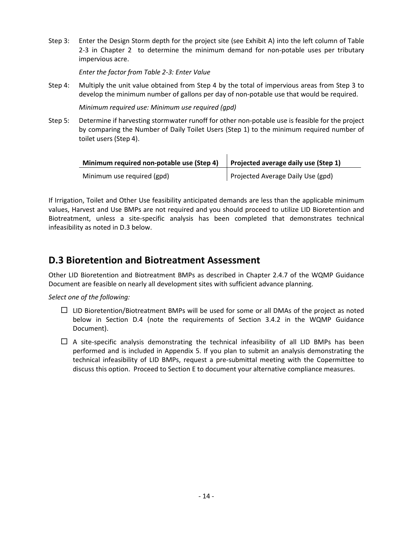Step 3: Enter the Design Storm depth for the project site (see Exhibit A) into the left column of Table 2-3 in Chapter 2 to determine the minimum demand for non-potable uses per tributary impervious acre.

*Enter the factor from Table 2-3: Enter Value*

Step 4: Multiply the unit value obtained from Step 4 by the total of impervious areas from Step 3 to develop the minimum number of gallons per day of non-potable use that would be required.

*Minimum required use: Minimum use required (gpd)*

Step 5: Determine if harvesting stormwater runoff for other non-potable use is feasible for the project by comparing the Number of Daily Toilet Users (Step 1) to the minimum required number of toilet users (Step 4).

| Minimum required non-potable use (Step 4) | Projected average daily use (Step 1) |
|-------------------------------------------|--------------------------------------|
| Minimum use required (gpd)                | Projected Average Daily Use (gpd)    |

If Irrigation, Toilet and Other Use feasibility anticipated demands are less than the applicable minimum values, Harvest and Use BMPs are not required and you should proceed to utilize LID Bioretention and Biotreatment, unless a site-specific analysis has been completed that demonstrates technical infeasibility as noted in D.3 below.

### <span id="page-13-0"></span>**D.3 Bioretention and Biotreatment Assessment**

Other LID Bioretention and Biotreatment BMPs as described in Chapter 2.4.7 of the WQMP Guidance Document are feasible on nearly all development sites with sufficient advance planning.

*Select one of the following:*

- $\Box$  LID Bioretention/Biotreatment BMPs will be used for some or all DMAs of the project as noted below in Section D.4 (note the requirements of Section 3.4.2 in the WQMP Guidance Document).
- $\Box$  A site-specific analysis demonstrating the technical infeasibility of all LID BMPs has been performed and is included in Appendix 5. If you plan to submit an analysis demonstrating the technical infeasibility of LID BMPs, request a pre-submittal meeting with the Copermittee to discuss this option. Proceed to Section E to document your alternative compliance measures.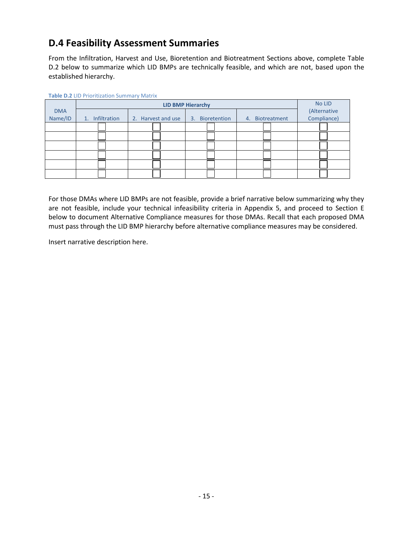### <span id="page-14-0"></span>**D.4 Feasibility Assessment Summaries**

From the Infiltration, Harvest and Use, Bioretention and Biotreatment Sections above, complete Table D.2 below to summarize which LID BMPs are technically feasible, and which are not, based upon the established hierarchy.

| <b>Table D.2 LID</b> I HOLIGLATOR JUILING <b>Y</b> IVIGUIA |                          |                    |                 |                 |              |  |  |  |  |
|------------------------------------------------------------|--------------------------|--------------------|-----------------|-----------------|--------------|--|--|--|--|
|                                                            | <b>LID BMP Hierarchy</b> |                    |                 |                 |              |  |  |  |  |
| <b>DMA</b>                                                 |                          |                    |                 |                 | (Alternative |  |  |  |  |
| Name/ID                                                    | Infiltration<br>1.       | 2. Harvest and use | 3. Bioretention | 4. Biotreatment | Compliance)  |  |  |  |  |
|                                                            |                          |                    |                 |                 |              |  |  |  |  |
|                                                            |                          |                    |                 |                 |              |  |  |  |  |
|                                                            |                          |                    |                 |                 |              |  |  |  |  |
|                                                            |                          |                    |                 |                 |              |  |  |  |  |
|                                                            |                          |                    |                 |                 |              |  |  |  |  |
|                                                            |                          |                    |                 |                 |              |  |  |  |  |

**Table D.2** LID Prioritization Summary Matrix

For those DMAs where LID BMPs are not feasible, provide a brief narrative below summarizing why they are not feasible, include your technical infeasibility criteria in Appendix 5, and proceed to Section E below to document Alternative Compliance measures for those DMAs. Recall that each proposed DMA must pass through the LID BMP hierarchy before alternative compliance measures may be considered.

Insert narrative description here.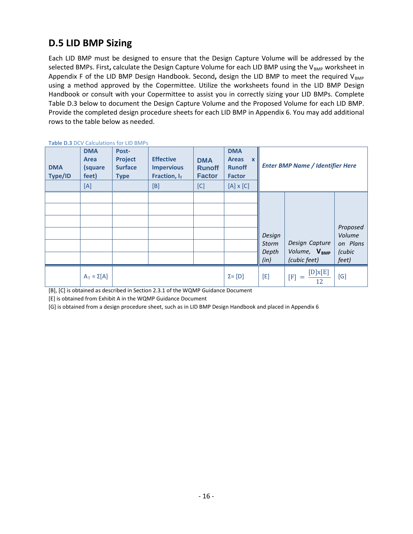### <span id="page-15-0"></span>**D.5 LID BMP Sizing**

Each LID BMP must be designed to ensure that the Design Capture Volume will be addressed by the selected BMPs. First, calculate the Design Capture Volume for each LID BMP using the V<sub>BMP</sub> worksheet in Appendix F of the LID BMP Design Handbook. Second, design the LID BMP to meet the required V<sub>BMP</sub> using a method approved by the Copermittee. Utilize the worksheets found in the LID BMP Design Handbook or consult with your Copermittee to assist you in correctly sizing your LID BMPs. Complete Table D.3 below to document the Design Capture Volume and the Proposed Volume for each LID BMP. Provide the completed design procedure sheets for each LID BMP in Appendix 6. You may add additional rows to the table below as needed.

| <b>DMA</b><br>Type/ID | <b>DMA</b><br>Area<br>(square<br>feet)<br>[A] | Post-<br><b>Project</b><br><b>Surface</b><br><b>Type</b> | <b>Effective</b><br><b>Impervious</b><br>Fraction, $I_f$<br>[B] | <b>DMA</b><br><b>Runoff</b><br><b>Factor</b><br>[C] | <b>DMA</b><br><b>Areas</b><br>$\mathbf{x}$<br><b>Runoff</b><br><b>Factor</b><br>$[A] \times [C]$ |                                  | <b>Enter BMP Name / Identifier Here</b>                    |                                                   |
|-----------------------|-----------------------------------------------|----------------------------------------------------------|-----------------------------------------------------------------|-----------------------------------------------------|--------------------------------------------------------------------------------------------------|----------------------------------|------------------------------------------------------------|---------------------------------------------------|
|                       |                                               |                                                          |                                                                 |                                                     |                                                                                                  | Design<br>Storm<br>Depth<br>(in) | Design Capture<br>Volume, V <sub>BMP</sub><br>(cubic feet) | Proposed<br>Volume<br>on Plans<br>(cubic<br>feet) |
|                       | $A_T = \Sigma[A]$                             |                                                          |                                                                 |                                                     | $\Sigma = [D]$                                                                                   | [E]                              | [D]x[E]<br>$\left[ \mathbf{F}\right]$<br>$\equiv$<br>12    | [G]                                               |

**Table D.3** DCV Calculations for LID BMPs

[B], [C] is obtained as described in Section 2.3.1 of the WQMP Guidance Document

[E] is obtained from Exhibit A in the WQMP Guidance Document

[G] is obtained from a design procedure sheet, such as in LID BMP Design Handbook and placed in Appendix 6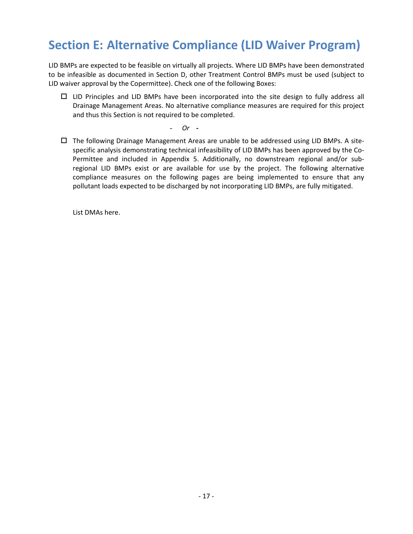## <span id="page-16-0"></span>**Section E: Alternative Compliance (LID Waiver Program)**

LID BMPs are expected to be feasible on virtually all projects. Where LID BMPs have been demonstrated to be infeasible as documented in Section D, other Treatment Control BMPs must be used (subject to LID waiver approval by the Copermittee). Check one of the following Boxes:

- $\Box$  LID Principles and LID BMPs have been incorporated into the site design to fully address all Drainage Management Areas. No alternative compliance measures are required for this project and thus this Section is not required to be completed.
	- *Or* **-**
- $\Box$  The following Drainage Management Areas are unable to be addressed using LID BMPs. A sitespecific analysis demonstrating technical infeasibility of LID BMPs has been approved by the Co-Permittee and included in Appendix 5. Additionally, no downstream regional and/or subregional LID BMPs exist or are available for use by the project. The following alternative compliance measures on the following pages are being implemented to ensure that any pollutant loads expected to be discharged by not incorporating LID BMPs, are fully mitigated.

List DMAs here.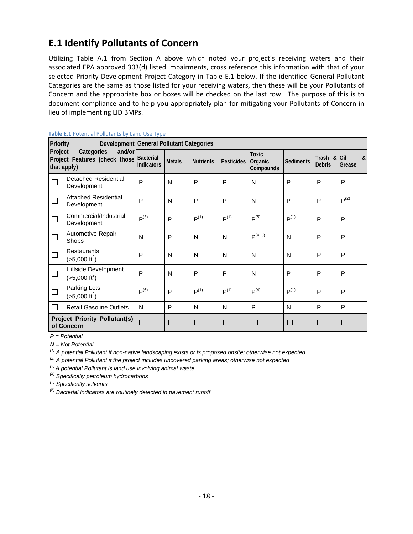### <span id="page-17-0"></span>**E.1 Identify Pollutants of Concern**

Utilizing Table A.1 from Section A above which noted your project's receiving waters and their associated EPA approved 303(d) listed impairments, cross reference this information with that of your selected Priority Development Project Category in Table E.1 below. If the identified General Pollutant Categories are the same as those listed for your receiving waters, then these will be your Pollutants of Concern and the appropriate box or boxes will be checked on the last row. The purpose of this is to document compliance and to help you appropriately plan for mitigating your Pollutants of Concern in lieu of implementing LID BMPs.

| Priority<br>Project<br>Categories<br>and/or<br>Project Features (check those<br>that apply) |                                                 | . .                            | Development General Pollutant Categories |                  |                   |                                      |                  |                              |                  |  |  |
|---------------------------------------------------------------------------------------------|-------------------------------------------------|--------------------------------|------------------------------------------|------------------|-------------------|--------------------------------------|------------------|------------------------------|------------------|--|--|
|                                                                                             |                                                 | Bacterial<br><b>Indicators</b> | <b>Metals</b>                            | <b>Nutrients</b> | <b>Pesticides</b> | <b>Toxic</b><br>Organic<br>Compounds | <b>Sediments</b> | Trash & Oil<br><b>Debris</b> | &<br>Grease      |  |  |
|                                                                                             | Detached Residential<br>Development             | P                              | N                                        | P                | P                 | N                                    | P                | P                            | P                |  |  |
| П                                                                                           | <b>Attached Residential</b><br>Development      | P                              | N                                        | P                | P                 | N                                    | P                | P                            | P <sup>(2)</sup> |  |  |
|                                                                                             | Commercial/Industrial<br>Development            | P <sup>(3)</sup>               | P                                        | $P^{(1)}$        | $P^{(1)}$         | $P^{(5)}$                            | P <sup>(1)</sup> | P                            | P                |  |  |
| $\Box$                                                                                      | Automotive Repair<br>Shops                      | N                              | P                                        | N                | N                 | $P^{(4, 5)}$                         | N                | P                            | P                |  |  |
| ⊔                                                                                           | <b>Restaurants</b><br>$(>5,000 \text{ ft}^2)$   | P                              | N                                        | N                | N                 | N                                    | N                | P                            | P                |  |  |
| $\Box$                                                                                      | Hillside Development<br>$(>5,000 \text{ ft}^2)$ | P                              | N                                        | P                | P                 | N                                    | P                | P                            | P                |  |  |
| □                                                                                           | Parking Lots<br>$(>5,000 \text{ ft}^2)$         | $P^{(6)}$                      | P                                        | $P^{(1)}$        | $P^{(1)}$         | P <sup>(4)</sup>                     | $P^{(1)}$        | P                            | P                |  |  |
|                                                                                             | <b>Retail Gasoline Outlets</b>                  | N                              | P                                        | N                | N                 | P                                    | N                | P                            | P                |  |  |
| <b>Project Priority Pollutant(s)</b><br>of Concern                                          |                                                 | $\Box$                         | $\Box$                                   | $\Box$           | $\mathbf{L}$      | $\mathbf{L}$                         | $\Box$           | $\Box$                       | $\Box$           |  |  |

#### **Table E.1** Potential Pollutants by Land Use Type

*P = Potential* 

*N = Not Potential* 

*(1) A potential Pollutant if non-native landscaping exists or is proposed onsite; otherwise not expected*

*(2) A potential Pollutant if the project includes uncovered parking areas; otherwise not expected*

*(3) A potential Pollutant is land use involving animal waste*

*(4) Specifically petroleum hydrocarbons*

*(5) Specifically solvents*

*(6) Bacterial indicators are routinely detected in pavement runoff*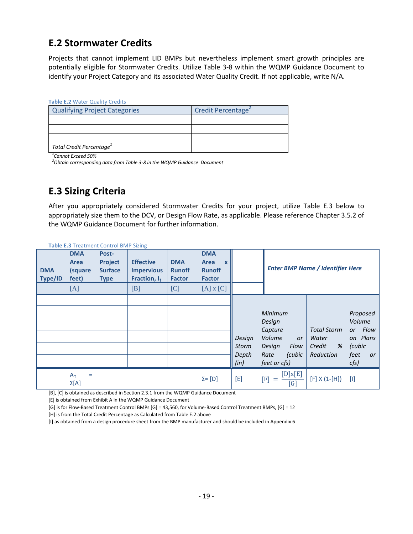### <span id="page-18-0"></span>**E.2 Stormwater Credits**

Projects that cannot implement LID BMPs but nevertheless implement smart growth principles are potentially eligible for Stormwater Credits. Utilize Table 3-8 within the WQMP Guidance Document to identify your Project Category and its associated Water Quality Credit. If not applicable, write N/A.

#### **Table E.2** Water Quality Credits

| <b>Qualifying Project Categories</b> | Credit Percentage <sup>2</sup> |
|--------------------------------------|--------------------------------|
|                                      |                                |
|                                      |                                |
|                                      |                                |
| Total Credit Percentage <sup>1</sup> |                                |

*1 Cannot Exceed 50%*

*2 Obtain corresponding data from Table 3-8 in the WQMP Guidance Document*

### <span id="page-18-1"></span>**E.3 Sizing Criteria**

After you appropriately considered Stormwater Credits for your project, utilize Table E.3 below to appropriately size them to the DCV, or Design Flow Rate, as applicable. Please reference Chapter 3.5.2 of the WQMP Guidance Document for further information.

| <b>DMA</b><br>Type/ID | <b>DMA</b><br>Area<br>(square<br>feet)<br>[A] | Post-<br><b>Project</b><br><b>Surface</b><br><b>Type</b> | <b>Effective</b><br><b>Impervious</b><br>Fraction, If<br>[B] | <b>DMA</b><br><b>Runoff</b><br><b>Factor</b><br>[C] | <b>DMA</b><br>Area<br>$\mathbf{x}$<br><b>Runoff</b><br><b>Factor</b><br>$[A]$ x $[C]$ |                                         |                                                                                                  | <b>Enter BMP Name / Identifier Here</b>                 |                                                                              |
|-----------------------|-----------------------------------------------|----------------------------------------------------------|--------------------------------------------------------------|-----------------------------------------------------|---------------------------------------------------------------------------------------|-----------------------------------------|--------------------------------------------------------------------------------------------------|---------------------------------------------------------|------------------------------------------------------------------------------|
|                       |                                               |                                                          |                                                              |                                                     |                                                                                       | Design<br><b>Storm</b><br>Depth<br>(in) | Minimum<br>Design<br>Capture<br>Volume<br>or<br>Design<br>Flow<br>(cubic<br>Rate<br>feet or cfs) | <b>Total Storm</b><br>Water<br>%<br>Credit<br>Reduction | Proposed<br>Volume<br>Flow<br>or<br>on Plans<br>(cubic<br>feet<br>or<br>cfs) |
|                       | $A_T$<br>$=$<br>$\Sigma[A]$                   |                                                          |                                                              |                                                     | $\Sigma = [D]$                                                                        | $[{\sf E}]$                             | [D]x[E]<br>[F]<br>$=$<br>[G]                                                                     | $[F] X (1-[H])$                                         | $[1]$                                                                        |

**Table E.3** Treatment Control BMP Sizing

[B], [C] is obtained as described in Section 2.3.1 from the WQMP Guidance Document

[E] is obtained from Exhibit A in the WQMP Guidance Document

[G] is for Flow-Based Treatment Control BMPs [G] = 43,560, for Volume-Based Control Treatment BMPs, [G] = 12

[H] is from the Total Credit Percentage as Calculated from Table E.2 above

[I] as obtained from a design procedure sheet from the BMP manufacturer and should be included in Appendix 6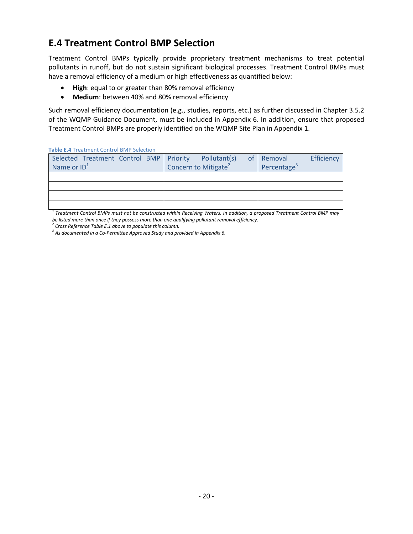### <span id="page-19-0"></span>**E.4 Treatment Control BMP Selection**

Treatment Control BMPs typically provide proprietary treatment mechanisms to treat potential pollutants in runoff, but do not sustain significant biological processes. Treatment Control BMPs must have a removal efficiency of a medium or high effectiveness as quantified below:

- **High**: equal to or greater than 80% removal efficiency
- **Medium**: between 40% and 80% removal efficiency

Such removal efficiency documentation (e.g., studies, reports, etc.) as further discussed in Chapter 3.5.2 of the WQMP Guidance Document, must be included in Appendix 6. In addition, ensure that proposed Treatment Control BMPs are properly identified on the WQMP Site Plan in Appendix 1.

| <b>Table E.4 Treatment Control BMP Selection</b> |                                  |                         |  |  |  |  |
|--------------------------------------------------|----------------------------------|-------------------------|--|--|--|--|
| Selected Treatment Control BMP   Priority        | Pollutant(s)<br><sub>of</sub>    | Efficiency<br>Removal   |  |  |  |  |
| Name or $ID1$                                    | Concern to Mitigate <sup>2</sup> | Percentage <sup>3</sup> |  |  |  |  |
|                                                  |                                  |                         |  |  |  |  |
|                                                  |                                  |                         |  |  |  |  |
|                                                  |                                  |                         |  |  |  |  |
|                                                  |                                  |                         |  |  |  |  |

**Table E.4** Treatment Control BMD Selection

*<sup>1</sup> Treatment Control BMPs must not be constructed within Receiving Waters. In addition, a proposed Treatment Control BMP may be listed more than once if they possess more than one qualifying pollutant removal efficiency.*

*<sup>2</sup> Cross Reference Table E.1 above to populate this column.*

*<sup>3</sup> As documented in a Co-Permittee Approved Study and provided in Appendix 6.*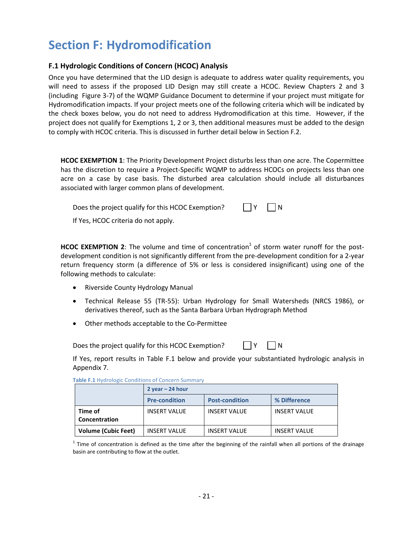## <span id="page-20-0"></span>**Section F: Hydromodification**

### <span id="page-20-1"></span>**F.1 Hydrologic Conditions of Concern (HCOC) Analysis**

Once you have determined that the LID design is adequate to address water quality requirements, you will need to assess if the proposed LID Design may still create a HCOC. Review Chapters 2 and 3 (including Figure 3-7) of the WQMP Guidance Document to determine if your project must mitigate for Hydromodification impacts. If your project meets one of the following criteria which will be indicated by the check boxes below, you do not need to address Hydromodification at this time. However, if the project does not qualify for Exemptions 1, 2 or 3, then additional measures must be added to the design to comply with HCOC criteria. This is discussed in further detail below in Section F.2.

**HCOC EXEMPTION 1**: The Priority Development Project disturbs less than one acre. The Copermittee has the discretion to require a Project-Specific WQMP to address HCOCs on projects less than one acre on a case by case basis. The disturbed area calculation should include all disturbances associated with larger common plans of development.

Does the project qualify for this HCOC Exemption?  $\Box Y$   $\Box N$ If Yes, HCOC criteria do not apply.

**HCOC EXEMPTION 2:** The volume and time of concentration<sup>1</sup> of storm water runoff for the postdevelopment condition is not significantly different from the pre-development condition for a 2-year return frequency storm (a difference of 5% or less is considered insignificant) using one of the following methods to calculate:

- Riverside County Hydrology Manual
- Technical Release 55 (TR-55): Urban Hydrology for Small Watersheds (NRCS 1986), or derivatives thereof, such as the Santa Barbara Urban Hydrograph Method
- Other methods acceptable to the Co-Permittee

Does the project qualify for this HCOC Exemption?  $\Box Y$   $\Box N$ 

If Yes, report results in Table F.1 below and provide your substantiated hydrologic analysis in Appendix 7.

|  |                            | $2$ year $- 24$ hour |                       |                     |  |  |  |
|--|----------------------------|----------------------|-----------------------|---------------------|--|--|--|
|  |                            | <b>Pre-condition</b> | <b>Post-condition</b> | % Difference        |  |  |  |
|  | Time of<br>Concentration   | <b>INSERT VALUE</b>  | <b>INSERT VALUE</b>   | <b>INSERT VALUE</b> |  |  |  |
|  | <b>Volume (Cubic Feet)</b> | <b>INSERT VALUE</b>  | <b>INSERT VALUE</b>   | <b>INSERT VALUE</b> |  |  |  |

 $1$  Time of concentration is defined as the time after the beginning of the rainfall when all portions of the drainage basin are contributing to flow at the outlet.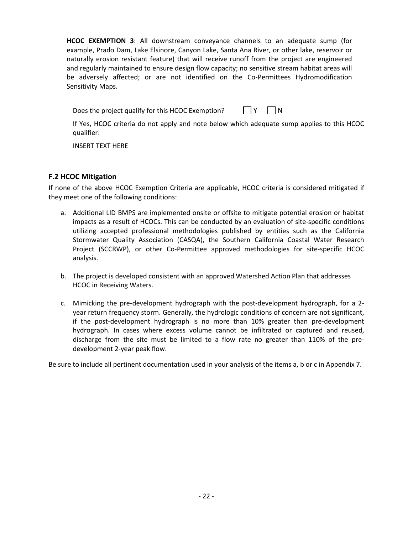**HCOC EXEMPTION 3**: All downstream conveyance channels to an adequate sump (for example, Prado Dam, Lake Elsinore, Canyon Lake, Santa Ana River, or other lake, reservoir or naturally erosion resistant feature) that will receive runoff from the project are engineered and regularly maintained to ensure design flow capacity; no sensitive stream habitat areas will be adversely affected; or are not identified on the Co-Permittees Hydromodification Sensitivity Maps.

Does the project qualify for this HCOC Exemption?  $\Box Y$   $\Box N$ 

If Yes, HCOC criteria do not apply and note below which adequate sump applies to this HCOC qualifier:

INSERT TEXT HERE

### <span id="page-21-0"></span>**F.2 HCOC Mitigation**

If none of the above HCOC Exemption Criteria are applicable, HCOC criteria is considered mitigated if they meet one of the following conditions:

- a. Additional LID BMPS are implemented onsite or offsite to mitigate potential erosion or habitat impacts as a result of HCOCs. This can be conducted by an evaluation of site-specific conditions utilizing accepted professional methodologies published by entities such as the California Stormwater Quality Association (CASQA), the Southern California Coastal Water Research Project (SCCRWP), or other Co-Permittee approved methodologies for site-specific HCOC analysis.
- b. The project is developed consistent with an approved Watershed Action Plan that addresses HCOC in Receiving Waters.
- c. Mimicking the pre-development hydrograph with the post-development hydrograph, for a 2 year return frequency storm. Generally, the hydrologic conditions of concern are not significant, if the post-development hydrograph is no more than 10% greater than pre-development hydrograph. In cases where excess volume cannot be infiltrated or captured and reused, discharge from the site must be limited to a flow rate no greater than 110% of the predevelopment 2-year peak flow.

Be sure to include all pertinent documentation used in your analysis of the items a, b or c in Appendix 7.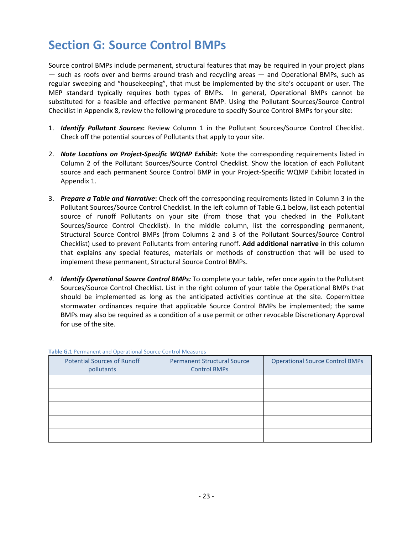## <span id="page-22-0"></span>**Section G: Source Control BMPs**

Source control BMPs include permanent, structural features that may be required in your project plans — such as roofs over and berms around trash and recycling areas — and Operational BMPs, such as regular sweeping and "housekeeping", that must be implemented by the site's occupant or user. The MEP standard typically requires both types of BMPs. In general, Operational BMPs cannot be substituted for a feasible and effective permanent BMP. Using the Pollutant Sources/Source Control Checklist in Appendix 8, review the following procedure to specify Source Control BMPs for your site:

- 1. *Identify Pollutant Sources***:** Review Column 1 in the Pollutant Sources/Source Control Checklist. Check off the potential sources of Pollutants that apply to your site.
- 2. *Note Locations on Project-Specific WQMP Exhibit***:** Note the corresponding requirements listed in Column 2 of the Pollutant Sources/Source Control Checklist. Show the location of each Pollutant source and each permanent Source Control BMP in your Project-Specific WQMP Exhibit located in Appendix 1.
- 3. *Prepare a Table and Narrative***:** Check off the corresponding requirements listed in Column 3 in the Pollutant Sources/Source Control Checklist. In the left column of Table G.1 below, list each potential source of runoff Pollutants on your site (from those that you checked in the Pollutant Sources/Source Control Checklist). In the middle column, list the corresponding permanent, Structural Source Control BMPs (from Columns 2 and 3 of the Pollutant Sources/Source Control Checklist) used to prevent Pollutants from entering runoff. **Add additional narrative** in this column that explains any special features, materials or methods of construction that will be used to implement these permanent, Structural Source Control BMPs.
- *4. Identify Operational Source Control BMPs:* To complete your table, refer once again to the Pollutant Sources/Source Control Checklist. List in the right column of your table the Operational BMPs that should be implemented as long as the anticipated activities continue at the site. Copermittee stormwater ordinances require that applicable Source Control BMPs be implemented; the same BMPs may also be required as a condition of a use permit or other revocable Discretionary Approval for use of the site.

| <u>. www.arenews.com/number of the control would control the interest of the control of the control of the control of the control of the control of the control of the control of the control of the control of the control of t</u> |                                                           |                                        |  |
|--------------------------------------------------------------------------------------------------------------------------------------------------------------------------------------------------------------------------------------|-----------------------------------------------------------|----------------------------------------|--|
| <b>Potential Sources of Runoff</b><br>pollutants                                                                                                                                                                                     | <b>Permanent Structural Source</b><br><b>Control BMPs</b> | <b>Operational Source Control BMPs</b> |  |
|                                                                                                                                                                                                                                      |                                                           |                                        |  |
|                                                                                                                                                                                                                                      |                                                           |                                        |  |
|                                                                                                                                                                                                                                      |                                                           |                                        |  |
|                                                                                                                                                                                                                                      |                                                           |                                        |  |
|                                                                                                                                                                                                                                      |                                                           |                                        |  |

#### **Table G.1** Permanent and Operational Source Control Measures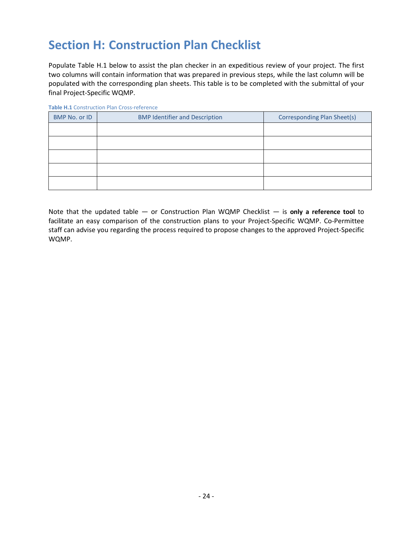## <span id="page-23-0"></span>**Section H: Construction Plan Checklist**

Populate Table H.1 below to assist the plan checker in an expeditious review of your project. The first two columns will contain information that was prepared in previous steps, while the last column will be populated with the corresponding plan sheets. This table is to be completed with the submittal of your final Project-Specific WQMP.

| BMP No. or ID | <b>BMP Identifier and Description</b> | Corresponding Plan Sheet(s) |
|---------------|---------------------------------------|-----------------------------|
|               |                                       |                             |
|               |                                       |                             |
|               |                                       |                             |
|               |                                       |                             |
|               |                                       |                             |

**Table H.1** Construction Plan Cross-reference

Note that the updated table — or Construction Plan WQMP Checklist — is **only a reference tool** to facilitate an easy comparison of the construction plans to your Project-Specific WQMP. Co-Permittee staff can advise you regarding the process required to propose changes to the approved Project-Specific WQMP.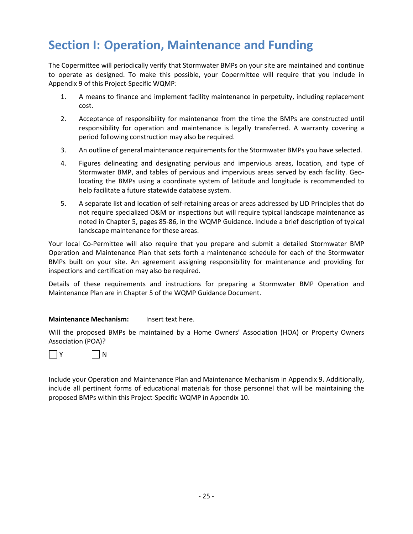## <span id="page-24-0"></span>**Section I: Operation, Maintenance and Funding**

The Copermittee will periodically verify that Stormwater BMPs on your site are maintained and continue to operate as designed. To make this possible, your Copermittee will require that you include in Appendix 9 of this Project-Specific WQMP:

- 1. A means to finance and implement facility maintenance in perpetuity, including replacement cost.
- 2. Acceptance of responsibility for maintenance from the time the BMPs are constructed until responsibility for operation and maintenance is legally transferred. A warranty covering a period following construction may also be required.
- 3. An outline of general maintenance requirements for the Stormwater BMPs you have selected.
- 4. Figures delineating and designating pervious and impervious areas, location, and type of Stormwater BMP, and tables of pervious and impervious areas served by each facility. Geolocating the BMPs using a coordinate system of latitude and longitude is recommended to help facilitate a future statewide database system.
- 5. A separate list and location of self-retaining areas or areas addressed by LID Principles that do not require specialized O&M or inspections but will require typical landscape maintenance as noted in Chapter 5, pages 85-86, in the WQMP Guidance. Include a brief description of typical landscape maintenance for these areas.

Your local Co-Permittee will also require that you prepare and submit a detailed Stormwater BMP Operation and Maintenance Plan that sets forth a maintenance schedule for each of the Stormwater BMPs built on your site. An agreement assigning responsibility for maintenance and providing for inspections and certification may also be required.

Details of these requirements and instructions for preparing a Stormwater BMP Operation and Maintenance Plan are in Chapter 5 of the WQMP Guidance Document.

#### **Maintenance Mechanism:** Insert text here.

Will the proposed BMPs be maintained by a Home Owners' Association (HOA) or Property Owners Association (POA)?



Include your Operation and Maintenance Plan and Maintenance Mechanism in Appendix 9. Additionally, include all pertinent forms of educational materials for those personnel that will be maintaining the proposed BMPs within this Project-Specific WQMP in Appendix 10.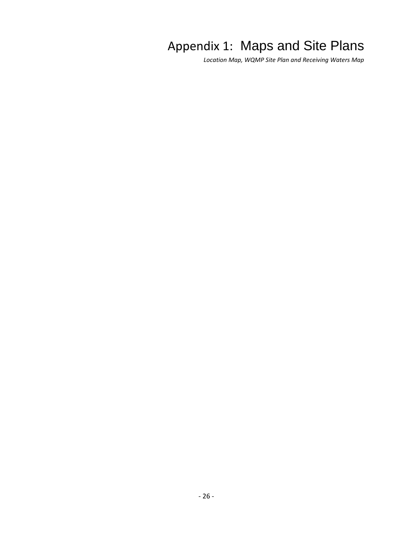# Appendix 1: Maps and Site Plans

<span id="page-25-0"></span>*Location Map, WQMP Site Plan and Receiving Waters Map*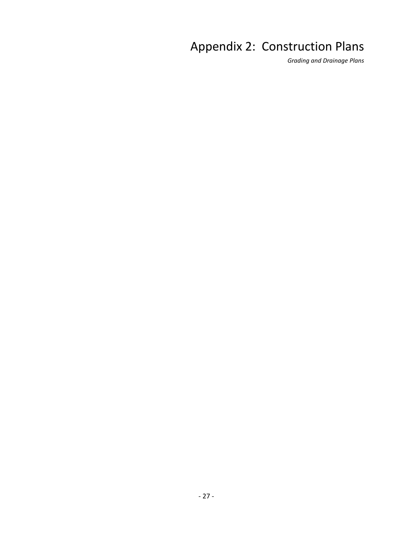# <span id="page-26-0"></span>Appendix 2: Construction Plans

*Grading and Drainage Plans*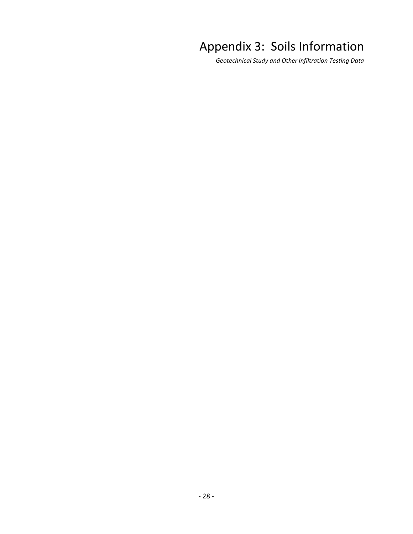# <span id="page-27-0"></span>Appendix 3: Soils Information

*Geotechnical Study and Other Infiltration Testing Data*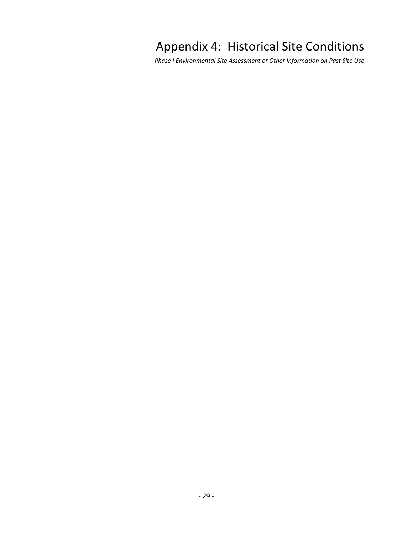# <span id="page-28-0"></span>Appendix 4: Historical Site Conditions

*Phase I Environmental Site Assessment or Other Information on Past Site Use*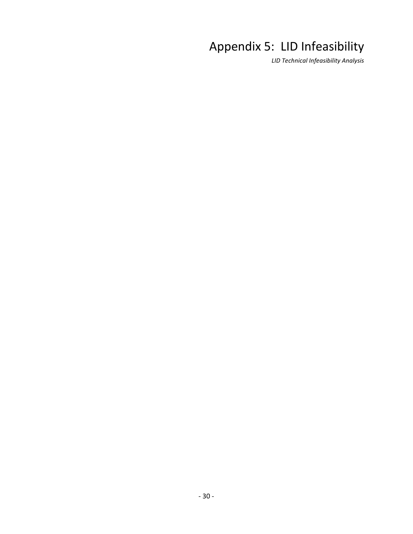# <span id="page-29-0"></span>Appendix 5: LID Infeasibility

*LID Technical Infeasibility Analysis*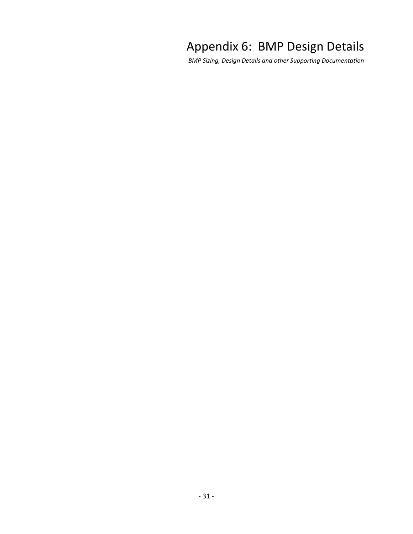## <span id="page-30-0"></span>Appendix 6: BMP Design Details

*BMP Sizing, Design Details and other Supporting Documentation*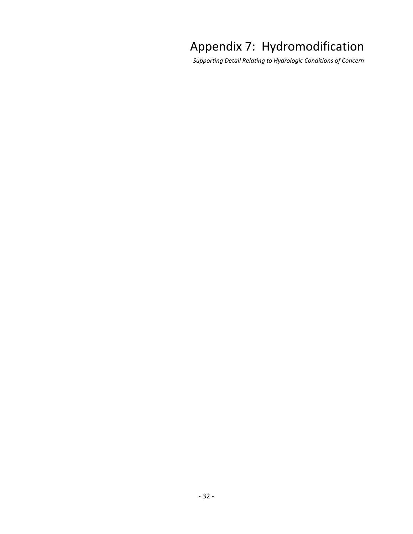# <span id="page-31-0"></span>Appendix 7: Hydromodification

*Supporting Detail Relating to Hydrologic Conditions of Concern*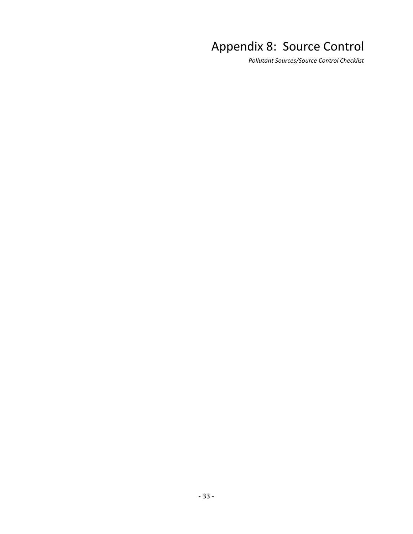# <span id="page-32-0"></span>Appendix 8: Source Control

*Pollutant Sources/Source Control Checklist*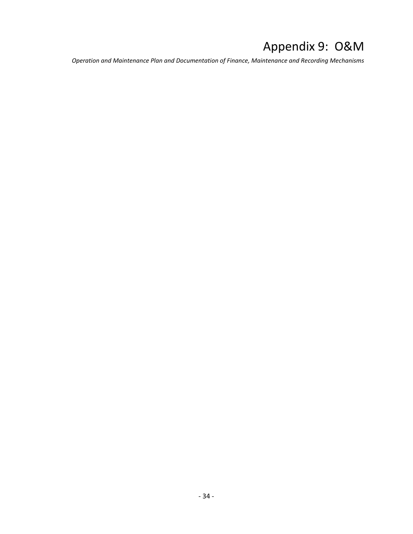# <span id="page-33-0"></span>Appendix 9: O&M

*Operation and Maintenance Plan and Documentation of Finance, Maintenance and Recording Mechanisms*